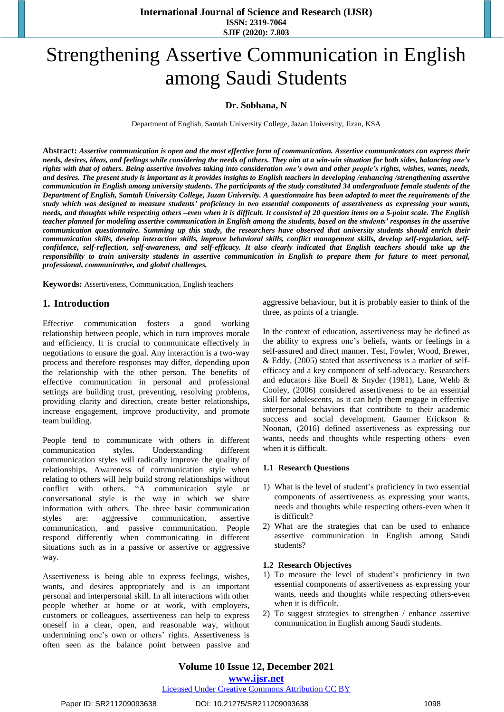# Strengthening Assertive Communication in English among Saudi Students

## **Dr. Sobhana, N**

Department of English, Samtah University College, Jazan University, Jizan, KSA

Abstract: Assertive communication is open and the most effective form of communication. Assertive communicators can express their needs, desires, ideas, and feelings while considering the needs of others. They aim at a win-win situation for both sides, balancing one's rights with that of others. Being assertive involves taking into consideration one's own and other people's rights, wishes, wants, needs, and desires. The present study is important as it provides insights to English teachers in developing /enhancing /strengthening assertive communication in English among university students. The participants of the study constituted 34 undergraduate female students of the Department of English, Samtah University College, Jazan University. A questionnaire has been adapted to meet the requirements of the study which was designed to measure students' proficiency in two essential components of assertiveness as expressing your wants, needs, and thoughts while respecting others -even when it is difficult. It consisted of 20 question items on a 5-point scale. The English teacher planned for modeling assertive communication in English among the students, based on the students' responses in the assertive *communication questionnaire. Summing up this study, the researchers have observed that university students should enrich their* communication skills, develop interaction skills, improve behavioral skills, conflict management skills, develop self-regulation, selfconfidence, self-reflection, self-awareness, and self-efficacy. It also clearly indicated that English teachers should take up the responsibility to train university students in assertive communication in English to prepare them for future to meet personal, *professional, communicative, and global challenges.*

**Keywords:** Assertiveness, Communication, English teachers

## **1. Introduction**

Effective communication fosters a good working relationship between people, which in turn improves morale and efficiency. It is crucial to communicate effectively in negotiations to ensure the goal. Any interaction is a two-way process and therefore responses may differ, depending upon the relationship with the other person. The benefits of effective communication in personal and professional settings are building trust, preventing, resolving problems, providing clarity and direction, create better relationships, increase engagement, improve productivity, and promote team building.

People tend to communicate with others in different communication styles. Understanding different communication styles will radically improve the quality of relationships. Awareness of communication style when relating to others will help build strong relationships without conflict with others. "A communication style or conversational style is the way in which we share information with others. The three basic communication styles are: aggressive communication, assertive communication, and passive communication. People respond differently when communicating in different situations such as in a passive or assertive or aggressive way.

Assertiveness is being able to express feelings, wishes, wants, and desires appropriately and is an important personal and interpersonal skill. In all interactions with other people whether at home or at work, with employers, customers or colleagues, assertiveness can help to express oneself in a clear, open, and reasonable way, without undermining one's own or others' rights. Assertiveness is often seen as the balance point between passive and aggressive behaviour, but it is probably easier to think of the three, as points of a triangle.

In the context of education, assertiveness may be defined as the ability to express one's beliefs, wants or feelings in a self-assured and direct manner. Test, Fowler, Wood, Brewer, & Eddy, (2005) stated that assertiveness is a marker of selfefficacy and a key component of self-advocacy. Researchers and educators like Buell & Snyder (1981), Lane, Wehb & Cooley, (2006) considered assertiveness to be an essential skill for adolescents, as it can help them engage in effective interpersonal behaviors that contribute to their academic success and social development. Gaumer Erickson & Noonan, (2016) defined assertiveness as expressing our wants, needs and thoughts while respecting others– even when it is difficult.

#### **1.1 Research Questions**

- 1) What is the level of student's proficiency in two essential components of assertiveness as expressing your wants, needs and thoughts while respecting others-even when it is difficult?
- 2) What are the strategies that can be used to enhance assertive communication in English among Saudi students?

#### **1.2 Research Objectives**

- 1) To measure the level of student's proficiency in two essential components of assertiveness as expressing your wants, needs and thoughts while respecting others-even when it is difficult.
- 2) To suggest strategies to strengthen / enhance assertive communication in English among Saudi students.

#### Paper ID: SR211209093638 DOI: 10.21275/SR211209093638 1098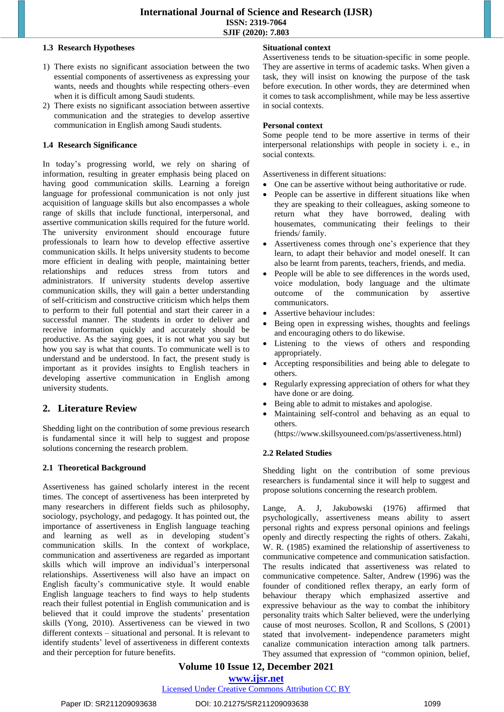## **1.3 Research Hypotheses**

- 1) There exists no significant association between the two essential components of assertiveness as expressing your wants, needs and thoughts while respecting others–even when it is difficult among Saudi students.
- 2) There exists no significant association between assertive communication and the strategies to develop assertive communication in English among Saudi students.

## **1.4 Research Significance**

In today's progressing world, we rely on sharing of information, resulting in greater emphasis being placed on having good communication skills. Learning a foreign language for professional communication is not only just acquisition of language skills but also encompasses a whole range of skills that include functional, interpersonal, and assertive communication skills required for the future world. The university environment should encourage future professionals to learn how to develop effective assertive communication skills. It helps university students to become more efficient in dealing with people, maintaining better relationships and reduces stress from tutors and administrators. If university students develop assertive communication skills, they will gain a better understanding of self-criticism and constructive criticism which helps them to perform to their full potential and start their career in a successful manner. The students in order to deliver and receive information quickly and accurately should be productive. As the saying goes, it is not what you say but how you say is what that counts. To communicate well is to understand and be understood. In fact, the present study is important as it provides insights to English teachers in developing assertive communication in English among university students.

## **2. Literature Review**

Shedding light on the contribution of some previous research is fundamental since it will help to suggest and propose solutions concerning the research problem.

#### **2.1 Theoretical Background**

Assertiveness has gained scholarly interest in the recent times. The concept of assertiveness has been interpreted by many researchers in different fields such as philosophy, sociology, psychology, and pedagogy. It has pointed out, the importance of assertiveness in English language teaching and learning as well as in developing student's communication skills. In the context of workplace, communication and assertiveness are regarded as important skills which will improve an individual's interpersonal relationships. Assertiveness will also have an impact on English faculty's communicative style. It would enable English language teachers to find ways to help students reach their fullest potential in English communication and is believed that it could improve the students' presentation skills (Yong, 2010). Assertiveness can be viewed in two different contexts – situational and personal. It is relevant to identify students' level of assertiveness in different contexts and their perception for future benefits.

#### **Situational context**

Assertiveness tends to be situation-specific in some people. They are assertive in terms of academic tasks. When given a task, they will insist on knowing the purpose of the task before execution. In other words, they are determined when it comes to task accomplishment, while may be less assertive in social contexts.

#### **Personal context**

Some people tend to be more assertive in terms of their interpersonal relationships with people in society i. e., in social contexts.

Assertiveness in different situations:

- One can be assertive without being authoritative or rude.
- People can be assertive in different situations like when they are speaking to their colleagues, asking someone to return what they have borrowed, dealing with housemates, communicating their feelings to their friends/ family.
- Assertiveness comes through one's experience that they learn, to adapt their behavior and model oneself. It can also be learnt from parents, teachers, friends, and media.
- People will be able to see differences in the words used, voice modulation, body language and the ultimate outcome of the communication by assertive communicators.
- Assertive behaviour includes:
- Being open in expressing wishes, thoughts and feelings and encouraging others to do likewise.
- Listening to the views of others and responding appropriately.
- Accepting responsibilities and being able to delegate to others.
- Regularly expressing appreciation of others for what they have done or are doing.
- Being able to admit to mistakes and apologise.
- Maintaining self-control and behaving as an equal to others.

[\(https://www.skillsyouneed.com/ps/assertiveness.html\)](https://www.skillsyouneed.com/ps/assertiveness.html)

#### **2.2 Related Studies**

Shedding light on the contribution of some previous researchers is fundamental since it will help to suggest and propose solutions concerning the research problem.

Lange, A. J, Jakubowski (1976) affirmed that psychologically, assertiveness means ability to assert personal rights and express personal opinions and feelings openly and directly respecting the rights of others. Zakahi, W. R. (1985) examined the relationship of assertiveness to communicative competence and communication satisfaction. The results indicated that assertiveness was related to communicative competence. Salter, Andrew (1996) was the founder of conditioned reflex therapy, an early form of behaviour therapy which emphasized assertive and expressive behaviour as the way to combat the inhibitory personality traits which Salter believed, were the underlying cause of most neuroses. Scollon, R and Scollons, S (2001) stated that involvement- independence parameters might canalize communication interaction among talk partners. They assumed that expression of "common opinion, belief,

## **Volume 10 Issue 12, December 2021 www.ijsr.net**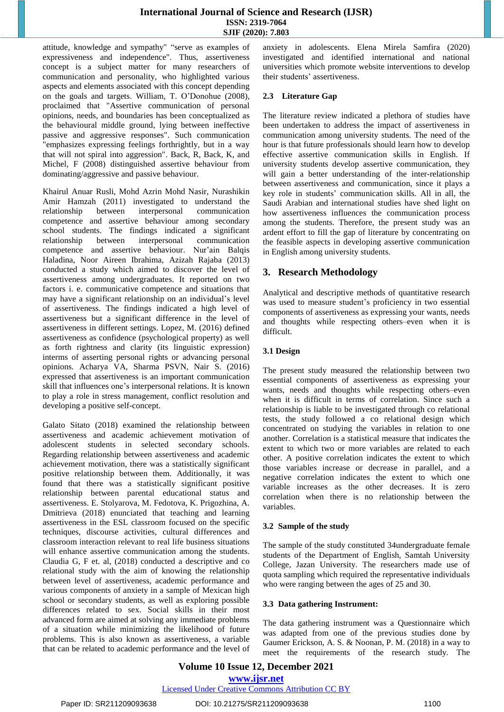attitude, knowledge and sympathy" "serve as examples of expressiveness and independence"*.* Thus, assertiveness concept is a subject matter for many researchers of communication and personality, who highlighted various aspects and elements associated with this concept depending on the goals and targets. William, T. O'Donohue (2008), proclaimed that "Assertive communication of personal opinions, needs, and boundaries has been conceptualized as the behavioural middle ground, lying between ineffective passive and aggressive responses". Such communication "emphasizes expressing feelings forthrightly, but in a way that will not spiral into aggression". Back, R, Back, K, and Michel, F (2008) distinguished assertive behaviour from dominating/aggressive and passive behaviour.

Khairul Anuar Rusli, Mohd Azrin Mohd Nasir, Nurashikin Amir Hamzah (2011) investigated to understand the relationship between interpersonal communication competence and assertive behaviour among secondary school students. The findings indicated a significant relationship between interpersonal communication competence and assertive behaviour. Nur'ain Balqis Haladina, Noor Aireen Ibrahima, Azizah Rajaba (2013) conducted a study which aimed to discover the level of assertiveness among undergraduates. It reported on two factors i. e. communicative competence and situations that may have a significant relationship on an individual's level of assertiveness. The findings indicated a high level of assertiveness but a significant difference in the level of assertiveness in different settings. Lopez, M. (2016) defined assertiveness as confidence (psychological property) as well as forth rightness and clarity (its linguistic expression) interms of asserting personal rights or advancing personal opinions. Acharya VA, Sharma PSVN, Nair S. (2016) expressed that assertiveness is an important communication skill that influences one's interpersonal relations. It is known to play a role in stress management, conflict resolution and developing a positive self-concept.

Galato Sitato (2018) examined the relationship between assertiveness and academic achievement motivation of adolescent students in selected secondary schools. Regarding relationship between assertiveness and academic achievement motivation, there was a statistically significant positive relationship between them. Additionally, it was found that there was a statistically significant positive relationship between parental educational status and assertiveness. E. Stolyarova, M. Fedotova, K. Prigozhina, A. Dmitrieva (2018) enunciated that teaching and learning assertiveness in the ESL classroom focused on the specific techniques, discourse activities, cultural differences and classroom interaction relevant to real life business situations will enhance assertive communication among the students. Claudia G, F et. al, (2018) conducted a descriptive and co relational study with the aim of knowing the relationship between level of assertiveness, academic performance and various components of anxiety in a sample of Mexican high school or secondary students, as well as exploring possible differences related to sex. Social skills in their most advanced form are aimed at solving any immediate problems of a situation while minimizing the likelihood of future problems. This is also known as assertiveness*,* a variable that can be related to academic performance and the level of anxiety in adolescents. Elena Mirela Samfira (2020) investigated and identified international and national universities which promote website interventions to develop their students' assertiveness.

## **2.3 Literature Gap**

The literature review indicated a plethora of studies have been undertaken to address the impact of assertiveness in communication among university students. The need of the hour is that future professionals should learn how to develop effective assertive communication skills in English. If university students develop assertive communication, they will gain a better understanding of the inter-relationship between assertiveness and communication, since it plays a key role in students' communication skills. All in all, the Saudi Arabian and international studies have shed light on how assertiveness influences the communication process among the students. Therefore, the present study was an ardent effort to fill the gap of literature by concentrating on the feasible aspects in developing assertive communication in English among university students.

## **3. Research Methodology**

Analytical and descriptive methods of quantitative research was used to measure student's proficiency in two essential components of assertiveness as expressing your wants, needs and thoughts while respecting others–even when it is difficult.

## **3.1 Design**

The present study measured the relationship between two essential components of assertiveness as expressing your wants, needs and thoughts while respecting others–even when it is difficult in terms of correlation. Since such a relationship is liable to be investigated through co relational tests, the study followed a co relational design which concentrated on studying the variables in relation to one another. Correlation is a statistical measure that indicates the extent to which two or more variables are related to each other. A positive correlation indicates the extent to which those variables increase or decrease in parallel, and a negative correlation indicates the extent to which one variable increases as the other decreases. It is zero correlation when there is no relationship between the variables.

## **3.2 Sample of the study**

The sample of the study constituted 34undergraduate female students of the Department of English, Samtah University College, Jazan University. The researchers made use of quota sampling which required the representative individuals who were ranging between the ages of 25 and 30.

## **3.3 Data gathering Instrument:**

The data gathering instrument was a Questionnaire which was adapted from one of the previous studies done by Gaumer Erickson, A. S. & Noonan, P. M. (2018) in a way to meet the requirements of the research study. The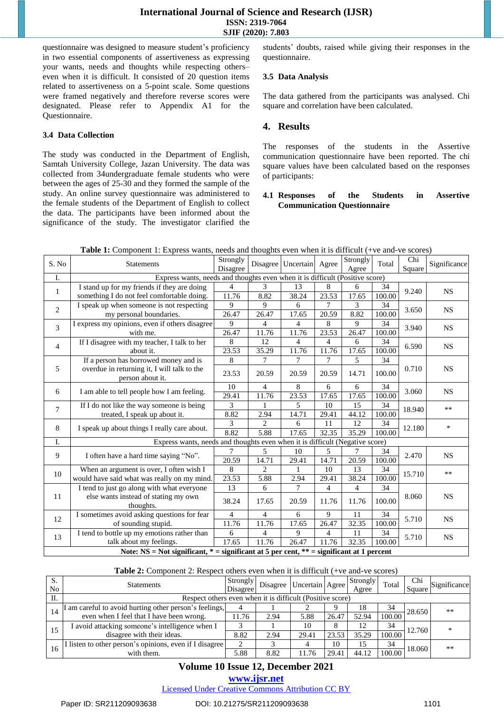questionnaire was designed to measure student's proficiency in two essential components of assertiveness as expressing your wants, needs and thoughts while respecting others– even when it is difficult. It consisted of 20 question items related to assertiveness on a 5-point scale. Some questions were framed negatively and therefore reverse scores were designated. Please refer to Appendix A1 for the Questionnaire.

#### **3.4 Data Collection**

The study was conducted in the Department of English, Samtah University College, Jazan University. The data was collected from 34undergraduate female students who were between the ages of 25-30 and they formed the sample of the study. An online survey questionnaire was administered to the female students of the Department of English to collect the data. The participants have been informed about the significance of the study. The investigator clarified the students' doubts, raised while giving their responses in the questionnaire.

#### **3.5 Data Analysis**

The data gathered from the participants was analysed. Chi square and correlation have been calculated.

## **4. Results**

The responses of the students in the Assertive communication questionnaire have been reported. The chi square values have been calculated based on the responses of participants:

#### **4.1 Responses of the Students in Assertive Communication Questionnaire**

|              | $\frac{1}{2}$ . Component 1. Express wants, needs and thoughts even when it is difficult (110 and 10 secrets) |                      |                |                          |                    |                   |                                                                                                                                                                  |                                   |              |
|--------------|---------------------------------------------------------------------------------------------------------------|----------------------|----------------|--------------------------|--------------------|-------------------|------------------------------------------------------------------------------------------------------------------------------------------------------------------|-----------------------------------|--------------|
| S. No        | <b>Statements</b>                                                                                             | Strongly<br>Disagree |                | Disagree Uncertain Agree |                    | Strongly<br>Agree | Total                                                                                                                                                            | Chi<br>Square                     | Significance |
| I.           | Express wants, needs and thoughts even when it is difficult (Positive score)                                  |                      |                |                          |                    |                   |                                                                                                                                                                  |                                   |              |
|              | I stand up for my friends if they are doing                                                                   | $\overline{4}$       | 3              | 13                       | 8                  | 6                 | 34                                                                                                                                                               |                                   |              |
| $\mathbf{1}$ | something I do not feel comfortable doing.                                                                    | 11.76                | 8.82           | 38.24                    | $\overline{23.53}$ | 17.65             | 100.00                                                                                                                                                           | 9.240                             | <b>NS</b>    |
|              | I speak up when someone is not respecting                                                                     | 9                    | 9              | 6                        | 7                  | 3                 | 34                                                                                                                                                               |                                   |              |
| $\mathbf{2}$ | my personal boundaries.                                                                                       | 26.47                | 26.47          | 17.65                    | 20.59              | 8.82              | 100.00                                                                                                                                                           | 3.650                             | <b>NS</b>    |
|              | I express my opinions, even if others disagree                                                                | 9                    | 4              | 4                        | 8                  | 9                 | 34                                                                                                                                                               |                                   |              |
| 3            | with me.                                                                                                      | 26.47                | 11.76          | 11.76                    | 23.53              | 26.47             |                                                                                                                                                                  | 3.940                             | <b>NS</b>    |
|              | If I disagree with my teacher, I talk to her                                                                  | 8                    | 12             | 4                        | $\overline{4}$     | 6                 | 34                                                                                                                                                               |                                   |              |
| 4            | about it.                                                                                                     | 23.53                | 35.29          | 11.76                    | 11.76              | 17.65             | 100.00<br>100.00<br>34<br>100.00<br>34<br>100.00<br>34<br>100.00<br>34<br>100.00<br>34<br>100.00<br>34<br>100.00<br>34<br>100.00<br>34<br>100.00<br>34<br>100.00 | 6.590                             | <b>NS</b>    |
|              | If a person has borrowed money and is                                                                         | 8                    | $\tau$         | $\overline{7}$           | 7                  | $\overline{5}$    |                                                                                                                                                                  |                                   |              |
| 5            | overdue in returning it, I will talk to the                                                                   |                      |                |                          |                    |                   |                                                                                                                                                                  | 0.710                             | <b>NS</b>    |
|              | person about it.                                                                                              | 23.53                | 20.59          | 20.59                    | 20.59              | 14.71             |                                                                                                                                                                  |                                   |              |
|              |                                                                                                               | 10                   | 4              | 8                        | 6                  | 6                 |                                                                                                                                                                  | 3.060                             | <b>NS</b>    |
| 6            | I am able to tell people how I am feeling.                                                                    | 29.41                | 11.76          | 23.53                    | 17.65              | 17.65             |                                                                                                                                                                  |                                   |              |
|              | If I do not like the way someone is being                                                                     | 3                    | 1              | $\overline{\mathbf{5}}$  | 10                 | 15                |                                                                                                                                                                  |                                   | $***$        |
| 7            | treated, I speak up about it.                                                                                 | 8.82                 | 2.94           | 14.71                    | 29.41              | 44.12             |                                                                                                                                                                  |                                   |              |
|              |                                                                                                               | 3                    | $\mathfrak{D}$ | 6                        | 11                 | 12                |                                                                                                                                                                  | 18.940<br>12.180                  | $\ast$       |
| 8            | I speak up about things I really care about.                                                                  | 8.82                 | 5.88           | 17.65                    | 32.35              | 35.29             |                                                                                                                                                                  |                                   |              |
| I.           | Express wants, needs and thoughts even when it is difficult (Negative score)                                  |                      |                |                          |                    |                   |                                                                                                                                                                  |                                   |              |
|              |                                                                                                               |                      | 5              | 10                       | 5                  | 7                 |                                                                                                                                                                  |                                   |              |
| 9            | I often have a hard time saying "No".                                                                         | 20.59                | 14.71          | 29.41                    | 14.71              | 20.59             |                                                                                                                                                                  |                                   | <b>NS</b>    |
|              | When an argument is over, I often wish I                                                                      | 8                    | $\overline{c}$ | $\mathbf{1}$             | 10                 | 13                |                                                                                                                                                                  |                                   | $**$         |
| 10           | would have said what was really on my mind.                                                                   | 23.53                | 5.88           | 2.94                     | 29.41              | 38.24             |                                                                                                                                                                  |                                   |              |
|              | I tend to just go along with what everyone                                                                    | 13                   | 6              | 7                        | 4                  | 4                 |                                                                                                                                                                  |                                   |              |
| 11           | else wants instead of stating my own                                                                          |                      |                |                          |                    |                   |                                                                                                                                                                  | 8.060                             | <b>NS</b>    |
|              | thoughts.                                                                                                     | 38.24                | 17.65          | 20.59                    | 11.76              | 11.76             |                                                                                                                                                                  |                                   |              |
|              | I sometimes avoid asking questions for fear                                                                   | 4                    | 4              | 6                        | 9                  | 11                |                                                                                                                                                                  |                                   |              |
| 12           | of sounding stupid.                                                                                           | 11.76                | 11.76          | 17.65                    | 26.47              | 32.35             |                                                                                                                                                                  |                                   | <b>NS</b>    |
|              | I tend to bottle up my emotions rather than                                                                   | 6                    | 4              | 9                        | 4                  | 11                |                                                                                                                                                                  | 2.470<br>15.710<br>5.710<br>5.710 |              |
| 13           | talk about my feelings.                                                                                       | 17.65                | 11.76          | 26.47                    | 11.76              | 32.35             |                                                                                                                                                                  |                                   | <b>NS</b>    |
|              | Note: NS = Not significant, $* =$ significant at 5 per cent, $** =$ significant at 1 percent                  |                      |                |                          |                    |                   |                                                                                                                                                                  |                                   |              |

**Table 1:** Component 1: Express wants, needs and thoughts even when it is difficult (+ve and-ve scores)

#### **Table 2:** Component 2: Respect others even when it is difficult (+ve and-ve scores)

| S.<br>No | <b>Statements</b>                                         | Strongly<br>Disagree |      | Disagree Uncertain Agree |       | Strongly<br>Agree | Total  | Chi<br>Square | Significance |
|----------|-----------------------------------------------------------|----------------------|------|--------------------------|-------|-------------------|--------|---------------|--------------|
| II.      | Respect others even when it is difficult (Positive score) |                      |      |                          |       |                   |        |               |              |
|          | I am careful to avoid hurting other person's feelings,    |                      |      |                          |       | 18                | 34     | 28.650        | $***$        |
| 14       | even when I feel that I have been wrong.                  | 11.76                | 2.94 | 5.88                     | 26.47 | 52.94             | 100.00 |               |              |
| 15       | I avoid attacking someone's intelligence when I           |                      |      | 10                       |       | 12                | 34     | 12.760        | $*$          |
|          | disagree with their ideas.                                | 8.82                 | 2.94 | 29.41                    | 23.53 | 35.29             | 100.00 |               |              |
| 16       | I listen to other person's opinions, even if I disagree   |                      |      |                          | 10    | 15                | 34     | 18.060        | $***$        |
|          | with them.                                                | 5.88                 | 8.82 | 11.76                    | 29.41 | 44.12             | 100.00 |               |              |

## **Volume 10 Issue 12, December 2021**

## **www.ijsr.net**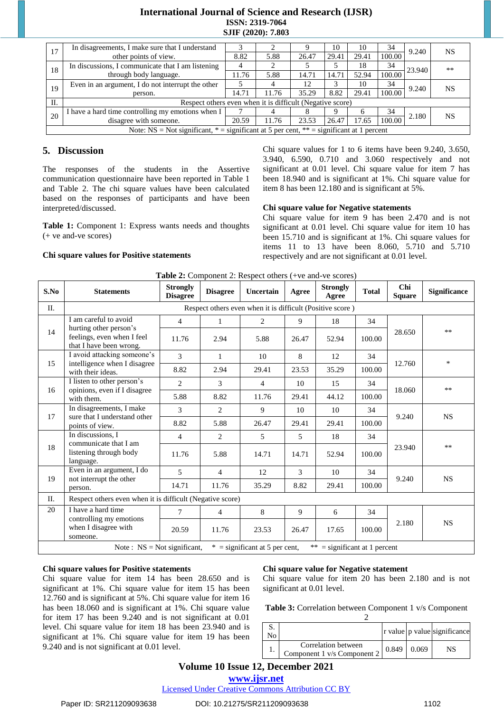| 17                                                | In disagreements, I make sure that I understand                                              |       |       |       | 10    | 10           | 34     | 9.240  | NS        |
|---------------------------------------------------|----------------------------------------------------------------------------------------------|-------|-------|-------|-------|--------------|--------|--------|-----------|
|                                                   | other points of view.                                                                        | 8.82  | 5.88  | 26.47 | 29.41 | 29.41        | 100.00 |        |           |
| In discussions, I communicate that I am listening |                                                                                              | 4     |       |       |       | 18           | 34     | 23.940 | $***$     |
| 18                                                | through body language.                                                                       |       | 5.88  | 14.71 | 14.71 | 52.94        | 100.00 |        |           |
| 19                                                | Even in an argument, I do not interrupt the other                                            |       |       | 12    |       | 10           | 34     | 9.240  | <b>NS</b> |
|                                                   | person.                                                                                      | 14.71 | 11.76 | 35.29 | 8.82  | 29.41        | 100.00 |        |           |
| П.                                                | Respect others even when it is difficult (Negative score)                                    |       |       |       |       |              |        |        |           |
| 20                                                | I have a hard time controlling my emotions when I                                            |       |       | δ     |       | <sub>n</sub> | 34     | 2.180  | NS.       |
|                                                   | disagree with someone.                                                                       | 20.59 | 11.76 | 23.53 | 26.47 | 17.65        | 100.00 |        |           |
|                                                   | Note: NS = Not significant, $* =$ significant at 5 per cent, $** =$ significant at 1 percent |       |       |       |       |              |        |        |           |

## **5. Discussion**

The responses of the students in the Assertive communication questionnaire have been reported in Table 1 and Table 2. The chi square values have been calculated based on the responses of participants and have been interpreted/discussed.

**Table 1:** Component 1: Express wants needs and thoughts (+ ve and-ve scores)

#### **Chi square values for Positive statements**

Chi square values for 1 to 6 items have been 9.240, 3.650, 3.940, 6.590, 0.710 and 3.060 respectively and not significant at 0.01 level. Chi square value for item 7 has been 18.940 and is significant at 1%. Chi square value for item 8 has been 12.180 and is significant at 5%.

#### **Chi square value for Negative statements**

Chi square value for item 9 has been 2.470 and is not significant at 0.01 level. Chi square value for item 10 has been 15.710 and is significant at 1%. Chi square values for items 11 to 13 have been 8.060, 5.710 and 5.710 respectively and are not significant at 0.01 level.

| S.No | <b>Statements</b>                                                                                  | <b>Strongly</b><br><b>Disagree</b> | <b>Disagree</b> | Uncertain      | Agree | <b>Strongly</b><br>Agree | <b>Total</b> | Chi<br><b>Square</b> | <b>Significance</b> |  |
|------|----------------------------------------------------------------------------------------------------|------------------------------------|-----------------|----------------|-------|--------------------------|--------------|----------------------|---------------------|--|
| II.  | Respect others even when it is difficult (Positive score)                                          |                                    |                 |                |       |                          |              |                      |                     |  |
|      | I am careful to avoid                                                                              | 4                                  | 1               | $\overline{2}$ | 9     | 18                       | 34           |                      |                     |  |
| 14   | hurting other person's<br>feelings, even when I feel<br>that I have been wrong.                    | 11.76                              | 2.94            | 5.88           | 26.47 | 52.94                    | 100.00       | 28.650               | $**$                |  |
|      | I avoid attacking someone's                                                                        | 3                                  | $\mathbf{1}$    | 10             | 8     | 12                       | 34           |                      | $\ast$              |  |
| 15   | intelligence when I disagree<br>with their ideas.                                                  | 8.82                               | 2.94            | 29.41          | 23.53 | 35.29                    | 100.00       | 12.760               |                     |  |
| 16   | I listen to other person's                                                                         | $\overline{2}$                     | 3               | 4              | 10    | 15                       | 34           | 18.060               | $***$               |  |
|      | opinions, even if I disagree<br>with them.                                                         | 5.88                               | 8.82            | 11.76          | 29.41 | 44.12                    | 100.00       |                      |                     |  |
|      | In disagreements, I make                                                                           | 3                                  | 2               | 9              | 10    | 10                       | 34           | 9.240                | <b>NS</b>           |  |
| 17   | sure that I understand other<br>points of view.                                                    | 8.82                               | 5.88            | 26.47          | 29.41 | 29.41                    | 100.00       |                      |                     |  |
|      | In discussions, I<br>communicate that I am                                                         | 4                                  | 2               | 5              | 5     | 18                       | 34           |                      |                     |  |
| 18   | listening through body<br>language.                                                                | 11.76                              | 5.88            | 14.71          | 14.71 | 52.94                    | 100.00       | 23.940               | $***$               |  |
| 19   | Even in an argument, I do<br>not interrupt the other<br>person.                                    | 5                                  | $\overline{4}$  | 12             | 3     | 10                       | 34           | 9.240                | <b>NS</b>           |  |
|      |                                                                                                    | 14.71                              | 11.76           | 35.29          | 8.82  | 29.41                    | 100.00       |                      |                     |  |
| II.  | Respect others even when it is difficult (Negative score)                                          |                                    |                 |                |       |                          |              |                      |                     |  |
| 20   | I have a hard time                                                                                 | 7                                  | 4               | 8              | 9     | 6                        | 34           |                      |                     |  |
|      | controlling my emotions<br>when I disagree with<br>someone.                                        | 20.59                              | 11.76           | 23.53          | 26.47 | 17.65                    | 100.00       | 2.180                | <b>NS</b>           |  |
|      | ** = significant at 1 percent<br>$*$ = significant at 5 per cent,<br>Note: $NS = Not$ significant, |                                    |                 |                |       |                          |              |                      |                     |  |

|  | Table 2: Component 2: Respect others (+ve and-ve scores) |
|--|----------------------------------------------------------|
|  |                                                          |

#### **Chi square values for Positive statements**

Chi square value for item 14 has been 28.650 and is significant at 1%. Chi square value for item 15 has been 12.760 and is significant at 5%. Chi square value for item 16 has been 18.060 and is significant at 1%. Chi square value for item 17 has been 9.240 and is not significant at 0.01 level. Chi square value for item 18 has been 23.940 and is significant at 1%. Chi square value for item 19 has been 9.240 and is not significant at 0.01 level.

#### **Chi square value for Negative statement**

Chi square value for item 20 has been 2.180 and is not significant at 0.01 level.

**Table 3:** Correlation between Component 1 v/s Component

|                                                    |       |       | r value   p value   significance |
|----------------------------------------------------|-------|-------|----------------------------------|
| Correlation between<br>Component 1 v/s Component 2 | 0.849 | 0.069 | NS                               |

## **Volume 10 Issue 12, December 2021**

**www.ijsr.net**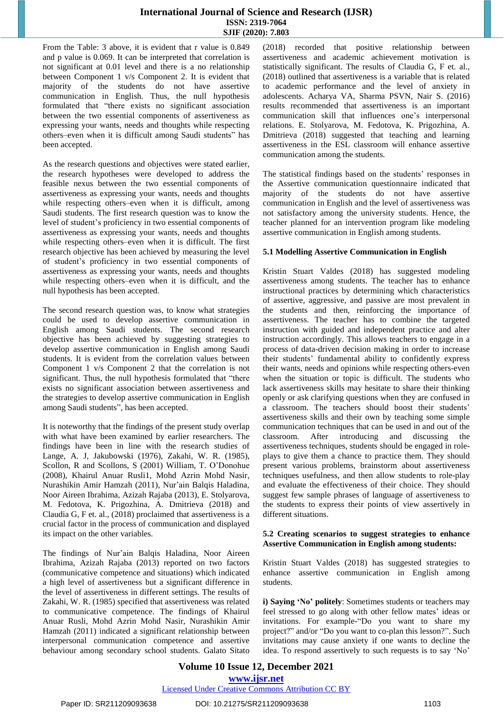From the Table: 3 above, it is evident that r value is 0.849 and p value is 0.069. It can be interpreted that correlation is not significant at 0.01 level and there is a no relationship between Component 1 v/s Component 2. It is evident that majority of the students do not have assertive communication in English. Thus, the null hypothesis formulated that "there exists no significant association between the two essential components of assertiveness as expressing your wants, needs and thoughts while respecting others–even when it is difficult among Saudi students" has been accepted.

As the research questions and objectives were stated earlier, the research hypotheses were developed to address the feasible nexus between the two essential components of assertiveness as expressing your wants, needs and thoughts while respecting others–even when it is difficult, among Saudi students. The first research question was to know the level of student's proficiency in two essential components of assertiveness as expressing your wants, needs and thoughts while respecting others–even when it is difficult. The first research objective has been achieved by measuring the level of student's proficiency in two essential components of assertiveness as expressing your wants, needs and thoughts while respecting others–even when it is difficult, and the null hypothesis has been accepted.

The second research question was, to know what strategies could be used to develop assertive communication in English among Saudi students. The second research objective has been achieved by suggesting strategies to develop assertive communication in English among Saudi students. It is evident from the correlation values between Component 1 v/s Component 2 that the correlation is not significant. Thus, the null hypothesis formulated that "there exists no significant association between assertiveness and the strategies to develop assertive communication in English among Saudi students", has been accepted.

It is noteworthy that the findings of the present study overlap with what have been examined by earlier researchers. The findings have been in line with the research studies of Lange, A. J, Jakubowski (1976), Zakahi, W. R. (1985), Scollon, R and Scollons, S (2001) William, T. O'Donohue (2008), Khairul Anuar Rusli1, Mohd Azrin Mohd Nasir, Nurashikin Amir Hamzah (2011), Nur'ain Balqis Haladina, Noor Aireen Ibrahima, Azizah Rajaba (2013), E. Stolyarova, M. Fedotova, K. Prigozhina, A. Dmitrieva (2018) and Claudia G, F et. al., (2018) proclaimed that assertiveness is a crucial factor in the process of communication and displayed its impact on the other variables.

The findings of Nur'ain Balqis Haladina, Noor Aireen Ibrahima, Azizah Rajaba (2013) reported on two factors (communicative competence and situations) which indicated a high level of assertiveness but a significant difference in the level of assertiveness in different settings. The results of Zakahi, W. R. (1985) specified that assertiveness was related to communicative competence. The findings of Khairul Anuar Rusli, Mohd Azrin Mohd Nasir, Nurashikin Amir Hamzah (2011) indicated a significant relationship between interpersonal communication competence and assertive behaviour among secondary school students. Galato Sitato (2018) recorded that positive relationship between assertiveness and academic achievement motivation is statistically significant. The results of Claudia G, F et. al., (2018) outlined that assertiveness is a variable that is related to academic performance and the level of anxiety in adolescents. Acharya VA, Sharma PSVN, Nair S. (2016) results recommended that assertiveness is an important communication skill that influences one's interpersonal relations. E. Stolyarova, M. Fedotova, K. Prigozhina, A. Dmitrieva (2018) suggested that teaching and learning assertiveness in the ESL classroom will enhance assertive communication among the students.

The statistical findings based on the students' responses in the Assertive communication questionnaire indicated that majority of the students do not have assertive communication in English and the level of assertiveness was not satisfactory among the university students. Hence, the teacher planned for an intervention program like modeling assertive communication in English among students.

## **5.1 Modelling Assertive Communication in English**

[Kristin](https://www.edutopia.org/profile/kristin-stuart-valdes) Stuart Valdes (2018) has suggested modeling assertiveness among students. The teacher has to enhance instructional practices by determining which characteristics of assertive, aggressive, and passive are most prevalent in the students and then, reinforcing the importance of assertiveness. The teacher has to combine the targeted instruction with guided and independent practice and alter instruction accordingly. This allows teachers to engage in a process of data-driven decision making in order to increase their students' fundamental ability to confidently express their wants, needs and opinions while respecting others-even when the situation or topic is difficult. The students who lack assertiveness skills may hesitate to share their thinking openly or ask clarifying questions when they are confused in a classroom. The teachers should boost their students' assertiveness skills and their own by teaching some simple communication techniques that can be used in and out of the classroom. After introducing and discussing the assertiveness techniques, students should be engaged in roleplays to give them a chance to practice them. They should present various problems, brainstorm about assertiveness techniques usefulness, and then allow students to role-play and evaluate the effectiveness of their choice. They should suggest few sample phrases of language of assertiveness to the students to express their points of view assertively in different situations.

## **5.2 Creating scenarios to suggest strategies to enhance Assertive Communication in English among students:**

[Kristin](https://www.edutopia.org/profile/kristin-stuart-valdes) Stuart Valdes (2018) has suggested strategies to enhance assertive communication in English among students.

**i) Saying 'No' politely**: Sometimes students or teachers may feel stressed to go along with other fellow mates' ideas or invitations. For example-"Do you want to share my project?" and/or "Do you want to co-plan this lesson?". Such invitations may cause anxiety if one wants to decline the idea. To respond assertively to such requests is to say 'No'

## **Volume 10 Issue 12, December 2021 www.ijsr.net** Licensed Under Creative Commons Attribution CC BY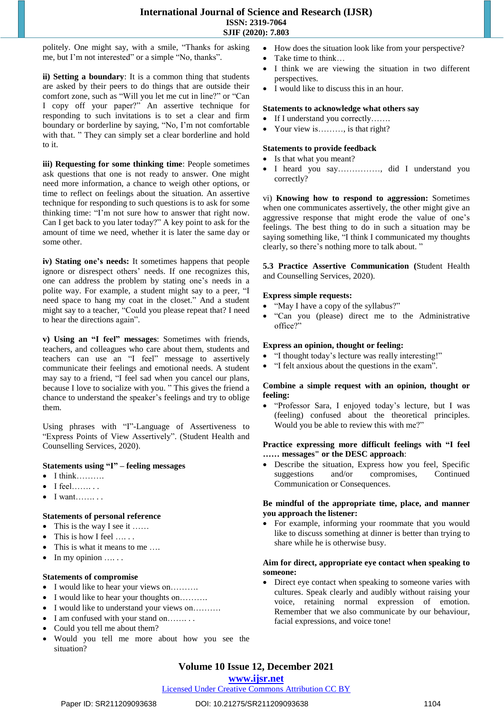politely. One might say, with a smile, "Thanks for asking me, but I'm not interested" or a simple "No, thanks".

**ii) Setting a boundary**: It is a common thing that students are asked by their peers to do things that are outside their comfort zone, such as "Will you let me cut in line?" or "Can I copy off your paper?" An assertive technique for responding to such invitations is to set a clear and firm boundary or borderline by saying, "No, I'm not comfortable with that. " They can simply set a clear borderline and hold to it.

**iii) Requesting for some thinking time**: People sometimes ask questions that one is not ready to answer. One might need more information, a chance to weigh other options, or time to reflect on feelings about the situation. An assertive technique for responding to such questions is to ask for some thinking time: "I'm not sure how to answer that right now. Can I get back to you later today?" A key point to ask for the amount of time we need, whether it is later the same day or some other.

**iv) Stating one's needs:** It sometimes happens that people ignore or disrespect others' needs. If one recognizes this, one can address the problem by stating one's needs in a polite way. For example, a student might say to a peer, "I need space to hang my coat in the closet." And a student might say to a teacher, "Could you please repeat that? I need to hear the directions again".

**v) Using an "I feel" messages**: Sometimes with friends, teachers, and colleagues who care about them, students and teachers can use an "I feel" message to assertively communicate their feelings and emotional needs. A student may say to a friend, "I feel sad when you cancel our plans, because I love to socialize with you. " This gives the friend a chance to understand the speaker's feelings and try to oblige them.

Using phrases with "I"-Language of Assertiveness to "Express Points of View Assertively". (Student Health and Counselling Services, 2020).

#### **Statements using "I" – feeling messages**

- $\bullet$  I think………
- I feel……. . .
- I want……. . .

## **Statements of personal reference**

- This is the way I see it ......
- This is how I feel .....
- This is what it means to me ….
- $\bullet$  In my opinion  $\dots$ .

## **Statements of compromise**

- I would like to hear your views on……….
- I would like to hear your thoughts on……….
- I would like to understand your views on……….
- I am confused with your stand on……. . .
- Could you tell me about them?
- Would you tell me more about how you see the situation?
- How does the situation look like from your perspective?
- Take time to think…
- I think we are viewing the situation in two different perspectives.
- I would like to discuss this in an hour.

#### **Statements to acknowledge what others say**

- If I understand you correctly…….
- Your view is………, is that right?

#### **Statements to provide feedback**

- Is that what you meant?
- I heard you say……………, did I understand you correctly?

vi) **Knowing how to respond to aggression:** Sometimes when one communicates assertively, the other might give an aggressive response that might erode the value of one's feelings. The best thing to do in such a situation may be saying something like, "I think I communicated my thoughts clearly, so there's nothing more to talk about. "

**5.3 Practice Assertive Communication (**Student Health and Counselling Services, 2020).

#### **Express simple requests:**

- "May I have a copy of the syllabus?"
- "Can you (please) direct me to the Administrative office?"

#### **Express an opinion, thought or feeling:**

- "I thought today's lecture was really interesting!"
- "I felt anxious about the questions in the exam".

#### **Combine a simple request with an opinion, thought or feeling:**

 "Professor Sara, I enjoyed today's lecture, but I was (feeling) confused about the theoretical principles. Would you be able to review this with me?"

#### **Practice expressing more difficult feelings with "I feel …… messages" or the DESC approach**:

 Describe the situation, Express how you feel, Specific suggestions and/or compromises, Continued Communication or Consequences.

#### **Be mindful of the appropriate time, place, and manner you approach the listener:**

 For example, informing your roommate that you would like to discuss something at dinner is better than trying to share while he is otherwise busy.

#### **Aim for direct, appropriate eye contact when speaking to someone:**

 Direct eye contact when speaking to someone varies with cultures. Speak clearly and audibly without raising your voice, retaining normal expression of emotion. Remember that we also communicate by our behaviour, facial expressions, and voice tone!

# **Volume 10 Issue 12, December 2021**

## **www.ijsr.net**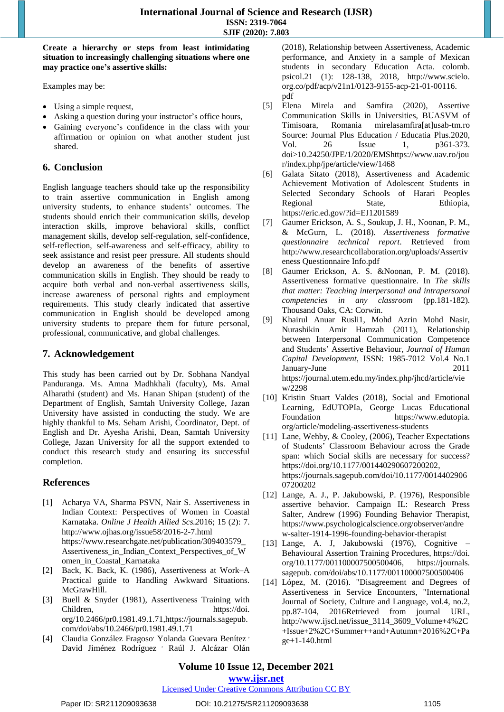**Create a hierarchy or steps from least intimidating situation to increasingly challenging situations where one may practice one's assertive skills:** 

Examples may be:

- Using a simple request,
- Asking a question during your instructor's office hours,
- Gaining everyone's confidence in the class with your affirmation or opinion on what another student just shared.

## **6. Conclusion**

English language teachers should take up the responsibility to train assertive communication in English among university students, to enhance students' outcomes. The students should enrich their communication skills, develop interaction skills, improve behavioral skills, conflict management skills, develop self-regulation, self-confidence, self-reflection, self-awareness and self-efficacy, ability to seek assistance and resist peer pressure. All students should develop an awareness of the benefits of assertive communication skills in English. They should be ready to acquire both verbal and non-verbal assertiveness skills, increase awareness of personal rights and employment requirements. This study clearly indicated that assertive communication in English should be developed among university students to prepare them for future personal, professional, communicative, and global challenges.

## **7. Acknowledgement**

This study has been carried out by Dr. Sobhana Nandyal Panduranga. Ms. Amna Madhkhali (faculty), Ms. Amal Alharathi (student) and Ms. Hanan Shipan (student) of the Department of English, Samtah University College, Jazan University have assisted in conducting the study. We are highly thankful to Ms. Seham Arishi, Coordinator, Dept. of English and Dr. Ayesha Arishi, Dean, Samtah University College, Jazan University for all the support extended to conduct this research study and ensuring its successful completion.

## **References**

- [1] Acharya VA, Sharma PSVN, Nair S. Assertiveness in Indian Context: Perspectives of Women in Coastal Karnataka. *Online J Health Allied Scs.2*016; 15 (2): 7. <http://www.ojhas.org/issue58/2016-2-7.html> [https://www.researchgate.net/publication/309403579\\_](https://www.researchgate.net/publication/309403579_Assertiveness_in_Indian_Context_Perspectives_of_Women_in_Coastal_Karnataka) [Assertiveness\\_in\\_Indian\\_Context\\_Perspectives\\_of\\_W](https://www.researchgate.net/publication/309403579_Assertiveness_in_Indian_Context_Perspectives_of_Women_in_Coastal_Karnataka) [omen\\_in\\_Coastal\\_Karnataka](https://www.researchgate.net/publication/309403579_Assertiveness_in_Indian_Context_Perspectives_of_Women_in_Coastal_Karnataka)
- [2] Back, K. Back, K. (1986), Assertiveness at Work–A Practical guide to Handling Awkward Situations. McGrawHill.
- [3] Buell & Snyder (1981), Assertiveness Training with Children, https://doi. [org/10.2466/pr0.1981.49.1.71](https://doi.org/10.2466/pr0.1981.49.1.71)[,https://journals.sagepub.](https://journals.sagepub.com/doi/abs/10.2466/pr0.1981.49.1.71) [com/doi/abs/10.2466/pr0.1981.49.1.71](https://journals.sagepub.com/doi/abs/10.2466/pr0.1981.49.1.71)
- [4] Claudia González Fragoso<sup>,</sup> Yolanda Guevara Benítez <sup>,</sup> David Jiménez Rodríguez <sup>,</sup> Raúl J. Alcázar Olán

(2018), Relationship between Assertiveness, Academic performance, and Anxiety in a sample of Mexican students in secondary Education Acta. colomb. psicol.21 (1): 128-138, 2018, http://www.scielo. org.co/pdf/acp/v21n1/0123-9155-acp-21-01-00116. pdf

- [5] Elena Mirela and Samfira (2020), Assertive Communication Skills in Universities, BUASVM of Timisoara, Romania [mirelasamfira\[at\]usab-tm.ro](mailto:mirelasamfira@usab-tm.ro) Source: Journal Plus Education / Educatia Plus.2020, Vol. 26 Issue 1, p361-373. doi>10.24250/JPE/1/2020/EM[Shttps://www.uav.ro/jou](https://www.uav.ro/jour/index.php/jpe/article/view/1468) [r/index.php/jpe/article/view/1468](https://www.uav.ro/jour/index.php/jpe/article/view/1468)
- [6] Galata Sitato (2018), Assertiveness and Academic Achievement Motivation of Adolescent Students in Selected Secondary Schools of Harari Peoples Regional State, Ethiopia, <https://eric.ed.gov/?id=EJ1201589>
- [7] Gaumer Erickson, A. S., Soukup, J. H., Noonan, P. M., & McGurn, L. (2018). *Assertiveness formative questionnaire technical report*. Retrieved from [http://www.researchcollaboration.org/uploads/Assertiv](http://www.researchcollaboration.org/uploads/AssertivenessQuestionnaireInfo.pdf) eness [Questionnaire](http://www.researchcollaboration.org/uploads/AssertivenessQuestionnaireInfo.pdf) Info.pdf
- [8] Gaumer Erickson, A. S. &Noonan, P. M. (2018). Assertiveness formative questionnaire. In *The skills that matter: Teaching interpersonal and intrapersonal competencies in any classroom* (pp.181-182). Thousand Oaks, CA: Corwin.
- [9] Khairul Anuar Rusli1, Mohd Azrin Mohd Nasir, Nurashikin Amir Hamzah (2011), Relationship between Interpersonal Communication Competence and Students' Assertive Behaviour, *Journal of Human Capital Development,* ISSN: 1985-7012 Vol.4 No.1 January-June 2011 [https://journal.utem.edu.my/index.php/jhcd/article/vie](https://journal.utem.edu.my/index.php/jhcd/article/view/2298) [w/2298](https://journal.utem.edu.my/index.php/jhcd/article/view/2298)
- [10] [Kristin](https://www.edutopia.org/profile/kristin-stuart-valdes) Stuart Valdes (2018), Social and Emotional Learning, EdUTOPIa, George Lucas Educational Foundation [https://www.edutopia.](https://www.edutopia.org/article/modeling-assertiveness-students)  [org/article/modeling-assertiveness-students](https://www.edutopia.org/article/modeling-assertiveness-students)
- [11] Lane, Wehby, & Cooley, (2006), Teacher Expectations of Students' Classroom Behaviour across the Grade span: which Social skills are necessary for success? [https://doi.org/10.1177/001440290607200202,](https://doi.org/10.1177/001440290607200202) [https://journals.sagepub.com/doi/10.1177/0014402906](https://journals.sagepub.com/doi/10.1177/001440290607200202) [07200202](https://journals.sagepub.com/doi/10.1177/001440290607200202)
- [12] Lange, A. J., P. Jakubowski, P. (1976), Responsible assertive behavior. Campaign IL: Research Press Salter, Andrew (1996) Founding Behavior Therapist, [https://www.psychologicalscience.org/observer/andre](https://www.psychologicalscience.org/observer/andrew-salter-1914-1996-founding-behavior-therapist) [w-salter-1914-1996-founding-behavior-therapist](https://www.psychologicalscience.org/observer/andrew-salter-1914-1996-founding-behavior-therapist)
- [13] Lange, A. J, Jakubowski (1976), Cognitive Behavioural Assertion Training Procedures, [https://doi.](https://doi.org/10.1177/001100007500500406)  [org/10.1177/001100007500500406,](https://doi.org/10.1177/001100007500500406) [https://journals.](https://journals.sagepub.com/doi/abs/10.1177/001100007500500406)  [sagepub. com/doi/abs/10.1177/001100007500500406](https://journals.sagepub.com/doi/abs/10.1177/001100007500500406)
- [14] López, M. (2016). "Disagreement and Degrees of Assertiveness in Service Encounters, "International Journal of Society, Culture and Language, vol.4, no.2, pp.87-104, 2016Retrieved from journal URL, [http://www.ijscl.net/issue\\_3114\\_3609\\_Volume+4%2C](http://www.ijscl.net/issue_3114_3609_Volume+4%2C+Issue+2%2C+Summer++and+Autumn+2016%2C+Page+1-140.html) [+Issue+2%2C+Summer++and+Autumn+2016%2C+Pa](http://www.ijscl.net/issue_3114_3609_Volume+4%2C+Issue+2%2C+Summer++and+Autumn+2016%2C+Page+1-140.html) ge+1-140.html

## **Volume 10 Issue 12, December 2021**

## **www.ijsr.net**